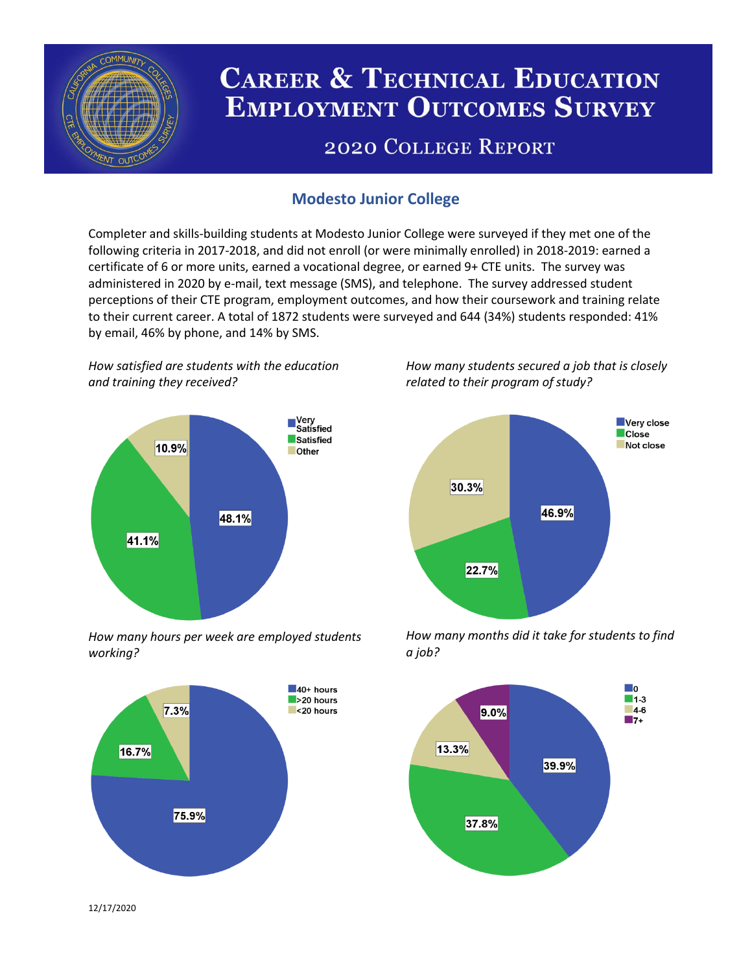

# **CAREER & TECHNICAL EDUCATION EMPLOYMENT OUTCOMES SURVEY**

## **2020 COLLEGE REPORT**

## **Modesto Junior College**

Completer and skills-building students at Modesto Junior College were surveyed if they met one of the following criteria in 2017-2018, and did not enroll (or were minimally enrolled) in 2018-2019: earned a certificate of 6 or more units, earned a vocational degree, or earned 9+ CTE units. The survey was administered in 2020 by e-mail, text message (SMS), and telephone. The survey addressed student perceptions of their CTE program, employment outcomes, and how their coursework and training relate to their current career. A total of 1872 students were surveyed and 644 (34%) students responded: 41% by email, 46% by phone, and 14% by SMS.

*How satisfied are students with the education and training they received?*



*How many hours per week are employed students working?*



*How many students secured a job that is closely related to their program of study?*



*How many months did it take for students to find a job?*



12/17/2020